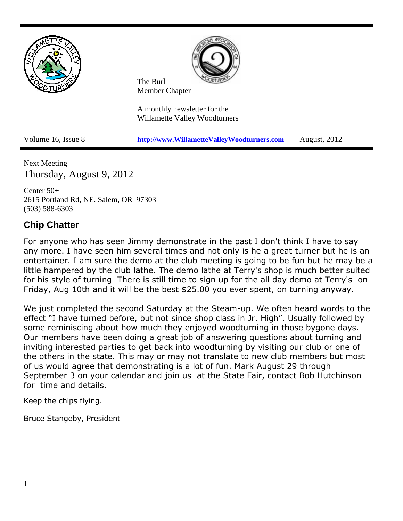

Next Meeting Thursday, August 9, 2012

Center 50+ 2615 Portland Rd, NE. Salem, OR 97303 (503) 588-6303

# **Chip Chatter**

For anyone who has seen Jimmy demonstrate in the past I don't think I have to say any more. I have seen him several times and not only is he a great turner but he is an entertainer. I am sure the demo at the club meeting is going to be fun but he may be a little hampered by the club lathe. The demo lathe at Terry's shop is much better suited for his style of turning There is still time to sign up for the all day demo at Terry's on Friday, Aug 10th and it will be the best \$25.00 you ever spent, on turning anyway.

We just completed the second Saturday at the Steam-up. We often heard words to the effect "I have turned before, but not since shop class in Jr. High". Usually followed by some reminiscing about how much they enjoyed woodturning in those bygone days. Our members have been doing a great job of answering questions about turning and inviting interested parties to get back into woodturning by visiting our club or one of the others in the state. This may or may not translate to new club members but most of us would agree that demonstrating is a lot of fun. Mark August 29 through September 3 on your calendar and join us at the State Fair, contact Bob Hutchinson for time and details.

Keep the chips flying.

Bruce Stangeby, President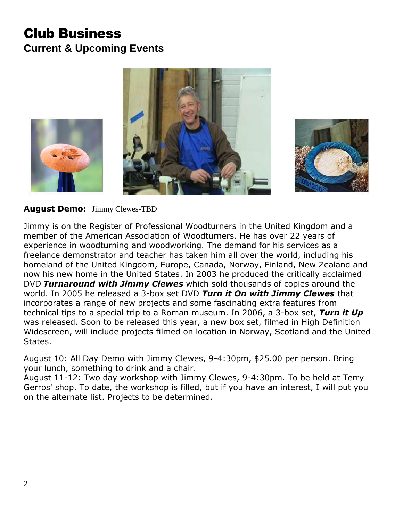# Club Business **Current & Upcoming Events**





# **August Demo:** Jimmy Clewes-TBD

Jimmy is on the Register of Professional Woodturners in the United Kingdom and a member of the American Association of Woodturners. He has over 22 years of experience in woodturning and woodworking. The demand for his services as a freelance demonstrator and teacher has taken him all over the world, including his homeland of the United Kingdom, Europe, Canada, Norway, Finland, New Zealand and now his new home in the United States. In 2003 he produced the critically acclaimed DVD *Turnaround with Jimmy Clewes* which sold thousands of copies around the world. In 2005 he released a 3-box set DVD *Turn it On with Jimmy Clewes* that incorporates a range of new projects and some fascinating extra features from technical tips to a special trip to a Roman museum. In 2006, a 3-box set, *Turn it Up* was released. Soon to be released this year, a new box set, filmed in High Definition Widescreen, will include projects filmed on location in Norway, Scotland and the United States.

August 10: All Day Demo with Jimmy Clewes, 9-4:30pm, \$25.00 per person. Bring your lunch, something to drink and a chair.

August 11-12: Two day workshop with Jimmy Clewes, 9-4:30pm. To be held at Terry Gerros' shop. To date, the workshop is filled, but if you have an interest, I will put you on the alternate list. Projects to be determined.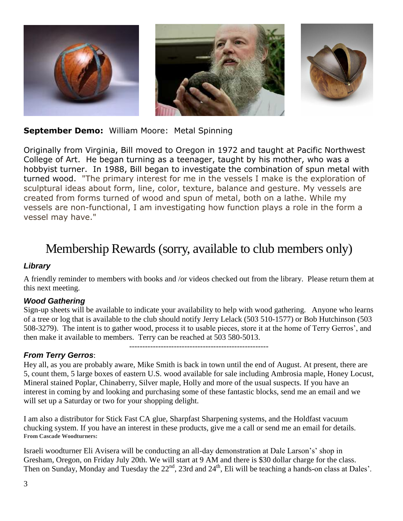

# **September Demo:** William Moore: Metal Spinning

Originally from Virginia, Bill moved to Oregon in 1972 and taught at Pacific Northwest College of Art. He began turning as a teenager, taught by his mother, who was a hobbyist turner. In 1988, Bill began to investigate the combination of spun metal with turned wood. "The primary interest for me in the vessels I make is the exploration of sculptural ideas about form, line, color, texture, balance and gesture. My vessels are created from forms turned of wood and spun of metal, both on a lathe. While my vessels are non-functional, I am investigating how function plays a role in the form a vessel may have."

# Membership Rewards (sorry, available to club members only)

#### *Library*

A friendly reminder to members with books and /or videos checked out from the library. Please return them at this next meeting.

#### *Wood Gathering*

Sign-up sheets will be available to indicate your availability to help with wood gathering. Anyone who learns of a tree or log that is available to the club should notify Jerry Lelack (503 510-1577) or Bob Hutchinson (503 508-3279). The intent is to gather wood, process it to usable pieces, store it at the home of Terry Gerros', and then make it available to members. Terry can be reached at 503 580-5013.

-----------------------------------------------------

# *From Terry Gerros*:

Hey all, as you are probably aware, Mike Smith is back in town until the end of August. At present, there are 5, count them, 5 large boxes of eastern U.S. wood available for sale including Ambrosia maple, Honey Locust, Mineral stained Poplar, Chinaberry, Silver maple, Holly and more of the usual suspects. If you have an interest in coming by and looking and purchasing some of these fantastic blocks, send me an email and we will set up a Saturday or two for your shopping delight.

I am also a distributor for Stick Fast CA glue, Sharpfast Sharpening systems, and the Holdfast vacuum chucking system. If you have an interest in these products, give me a call or send me an email for details. **From Cascade Woodturners:**

Israeli woodturner Eli Avisera will be conducting an all-day demonstration at Dale Larson's' shop in Gresham, Oregon, on Friday July 20th. We will start at 9 AM and there is \$30 dollar charge for the class. Then on Sunday, Monday and Tuesday the 22<sup>nd</sup>, 23rd and 24<sup>th</sup>, Eli will be teaching a hands-on class at Dales'.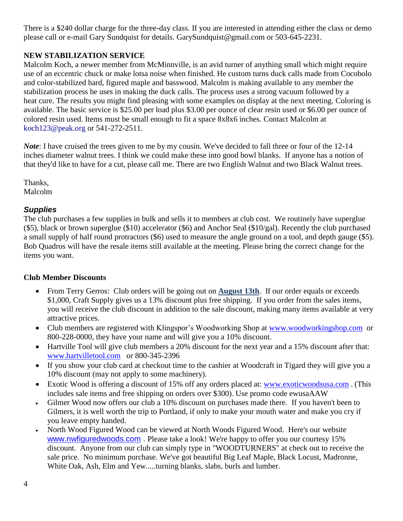There is a \$240 dollar charge for the three-day class. If you are interested in attending either the class or demo please call or e-mail Gary Sundquist for details. [GarySundquist@gmail.com](mailto:GarySundquist@gmail.com) or 503-645-2231.

# **NEW STABILIZATION SERVICE**

Malcolm Koch, a newer member from McMinnville, is an avid turner of anything small which might require use of an eccentric chuck or make lotsa noise when finished. He custom turns duck calls made from Cocobolo and color-stabilized hard, figured maple and basswood. Malcolm is making available to any member the stabilization process he uses in making the duck calls. The process uses a strong vacuum followed by a heat cure. The results you might find pleasing with some examples on display at the next meeting. Coloring is available. The basic service is \$25.00 per load plus \$3.00 per ounce of clear resin used or \$6.00 per ounce of colored resin used. Items must be small enough to fit a space 8x8x6 inches. Contact Malcolm at koch123@peak.org or 541-272-2511.

*Note*: I have cruised the trees given to me by my cousin. We've decided to fall three or four of the 12-14 inches diameter walnut trees. I think we could make these into good bowl blanks. If anyone has a notion of that they'd like to have for a cut, please call me. There are two English Walnut and two Black Walnut trees.

Thanks, Malcolm

# *Supplies*

The club purchases a few supplies in bulk and sells it to members at club cost. We routinely have superglue (\$5), black or brown superglue (\$10) accelerator (\$6) and Anchor Seal (\$10/gal). Recently the club purchased a small supply of half round protractors (\$6) used to measure the angle ground on a tool, and depth gauge (\$5). Bob Quadros will have the resale items still available at the meeting. Please bring the correct change for the items you want.

#### **Club Member Discounts**

- From Terry Gerros: Club orders will be going out on **August 13th**. If our order equals or exceeds \$1,000, Craft Supply gives us a 13% discount plus free shipping. If you order from the sales items, you will receive the club discount in addition to the sale discount, making many items available at very attractive prices.
- Club members are registered with Klingspor's Woodworking Shop at [www.woodworkingshop.com](http://www.woodworkingshop.com/) or 800-228-0000, they have your name and will give you a 10% discount.
- Hartville Tool will give club members a 20% discount for the next year and a 15% discount after that: [www.hartvilletool.com](http://www.hartvilletool.com/) or 800-345-2396
- If you show your club card at checkout time to the cashier at Woodcraft in Tigard they will give you a 10% discount (may not apply to some machinery).
- Exotic Wood is offering a discount of 15% off any orders placed at: [www.exoticwoodsusa.com](http://www.exoticwoodsusa.com/) . (This includes sale items and free shipping on orders over \$300). Use promo code ewusaAAW
- Gilmer Wood now offers our club a 10% discount on purchases made there. If you haven't been to Gilmers, it is well worth the trip to Portland, if only to make your mouth water and make you cry if you leave empty handed.
- North Wood Figured Wood can be viewed at North Woods Figured Wood. Here's our website [www.nwfiguredwoods.com](http://www.nwfiguredwoods.com/) . Please take a look! We're happy to offer you our courtesy 15% discount. Anyone from our club can simply type in "WOODTURNERS" at check out to receive the sale price. No minimum purchase. We've got beautiful Big Leaf Maple, Black Locust, Madronne, White Oak, Ash, Elm and Yew.....turning blanks, slabs, burls and lumber.